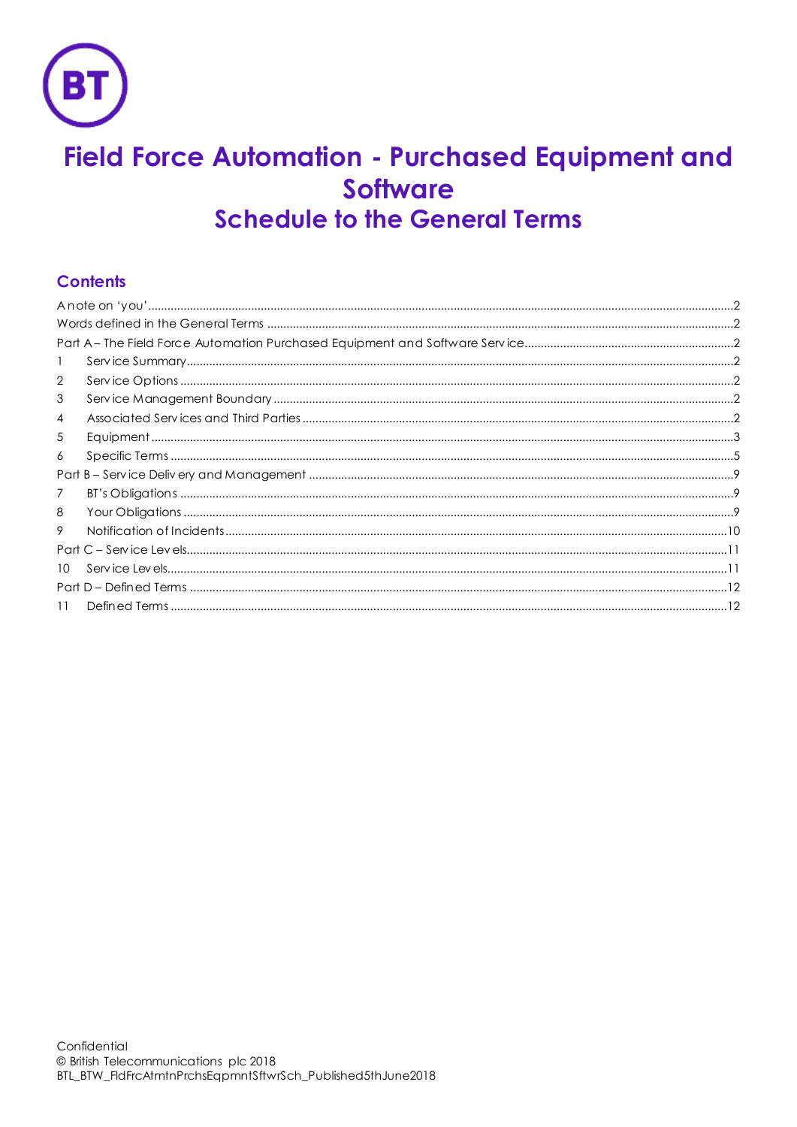

# Field Force Automation - Purchased Equipment and **Software Schedule to the General Terms**

# **Contents**

| $\overline{2}$ |  |  |
|----------------|--|--|
| 3              |  |  |
| 4              |  |  |
| 5              |  |  |
| 6              |  |  |
|                |  |  |
| 7              |  |  |
| 8              |  |  |
| 9              |  |  |
|                |  |  |
| 10             |  |  |
|                |  |  |
| 11             |  |  |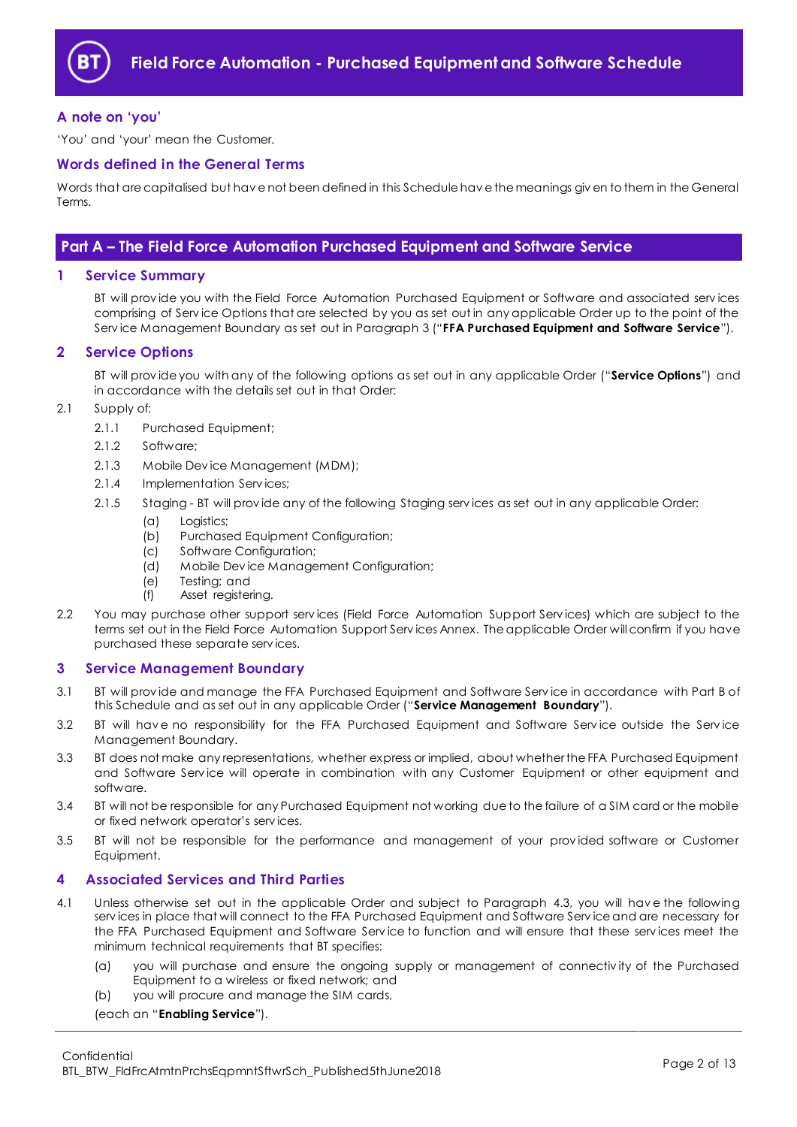

## <span id="page-1-0"></span>**A note on 'you'**

'You' and 'your' mean the Customer.

#### <span id="page-1-1"></span>**Words defined in the General Terms**

Words that are capitalised but hav e not been defined in this Schedule hav e the meanings giv en to them in the General Terms.

## <span id="page-1-2"></span>**Part A – The Field Force Automation Purchased Equipment and Software Service**

#### <span id="page-1-3"></span>**1 Service Summary**

BT will prov ide you with the Field Force Automation Purchased Equipment or Software and associated serv ices comprising of Serv ice Options that are selected by you as set out in any applicable Order up to the point of the Serv ice Management Boundary as set out in Paragraph [3](#page-1-5) ("**FFA Purchased Equipment and Software Service**").

#### <span id="page-1-4"></span>**2 Service Options**

BT will prov ide you with any of the following options as set out in any applicable Order ("**Service Options**") and in accordance with the details set out in that Order:

#### 2.1 Supply of:

- 2.1.1 Purchased Equipment;
- 2.1.2 Software;
- 2.1.3 Mobile Dev ice Management (MDM);
- 2.1.4 Implementation Serv ices;
- 2.1.5 Staging BT will prov ide any of the following Staging serv ices as set out in any applicable Order:
	- (a) Logistics;
	- (b) Purchased Equipment Configuration;
	- (c) Software Configuration;
	- (d) Mobile Dev ice Management Configuration;
	- (e) Testing; and
	- (f) Asset registering.
- 2.2 You may purchase other support services (Field Force Automation Support Services) which are subject to the terms set out in the Field Force Automation Support Serv ices Annex. The applicable Order will confirm if you have purchased these separate serv ices.

#### <span id="page-1-5"></span>**3 Service Management Boundary**

- 3.1 BT will prov ide and manage the FFA Purchased Equipment and Software Serv ice in accordance with Part B of this Schedule and as set out in any applicable Order ("**Service Management Boundary**").
- 3.2 BT will hav e no responsibility for the FFA Purchased Equipment and Software Serv ice outside the Serv ice Management Boundary.
- 3.3 BT does not make any representations, whether express or implied, about whether the FFA Purchased Equipment and Software Service will operate in combination with any Customer Equipment or other equipment and software.
- 3.4 BT will not be responsible for any Purchased Equipment not working due to the failure of a SIM card or the mobile or fixed network operator's serv ices.
- 3.5 BT will not be responsible for the performance and management of your prov ided software or Customer Equipment.

#### <span id="page-1-6"></span>**4 Associated Services and Third Parties**

- <span id="page-1-7"></span>4.1 Unless otherwise set out in the applicable Order and subject to Paragraph [4.3,](#page-2-1) you will hav e the following serv ices in place that will connect to the FFA Purchased Equipment and Software Serv ice and are necessary for the FFA Purchased Equipment and Software Serv ice to function and will ensure that these serv ices meet the minimum technical requirements that BT specifies:
	- (a) you will purchase and ensure the ongoing supply or management of connectiv ity of the Purchased Equipment to a wireless or fixed network; and
	- (b) you will procure and manage the SIM cards,

(each an "**Enabling Service**").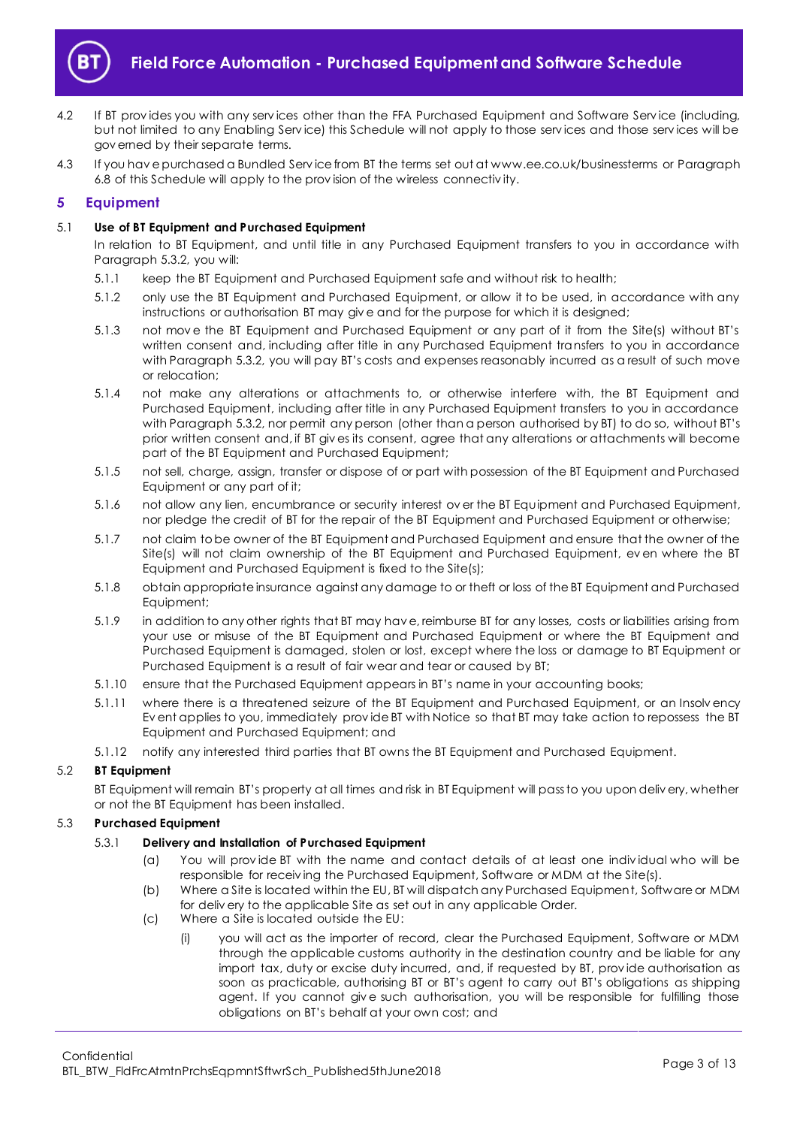

- 4.2 If BT prov ides you with any serv ices other than the FFA Purchased Equipment and Software Serv ice (including, but not limited to any Enabling Serv ice) this Schedule will not apply to those serv ices and those serv ices will be gov erned by their separate terms.
- <span id="page-2-1"></span>4.3 If you hav e purchased a Bundled Serv ice from BT the terms set out at www.ee.co.uk/businessterms or Paragraph [6.8](#page-6-0) of this Schedule will apply to the prov ision of the wireless connectiv ity.

## <span id="page-2-0"></span>**5 Equipment**

#### 5.1 **Use of BT Equipment and Purchased Equipment**

In relation to BT Equipment, and until title in any Purchased Equipment transfers to you in accordance with Paragraph [5.3.2,](#page-3-0) you will:

- 5.1.1 keep the BT Equipment and Purchased Equipment safe and without risk to health;
- 5.1.2 only use the BT Equipment and Purchased Equipment, or allow it to be used, in accordance with any instructions or authorisation BT may giv e and for the purpose for which it is designed;
- 5.1.3 not mov e the BT Equipment and Purchased Equipment or any part of it from the Site(s) without BT's written consent and, including after title in any Purchased Equipment transfers to you in accordance with Paragraph [5.3.2](#page-3-0), you will pay BT's costs and expenses reasonably incurred as a result of such move or relocation;
- 5.1.4 not make any alterations or attachments to, or otherwise interfere with, the BT Equipment and Purchased Equipment, including after title in any Purchased Equipment transfers to you in accordance with Paragrap[h 5.3.2](#page-3-0), nor permit any person (other than a person authorised by BT) to do so, without BT's prior written consent and, if BT giv es its consent, agree that any alterations or attachments will become part of the BT Equipment and Purchased Equipment;
- 5.1.5 not sell, charge, assign, transfer or dispose of or part with possession of the BT Equipment and Purchased Equipment or any part of it;
- 5.1.6 not allow any lien, encumbrance or security interest ov er the BT Equipment and Purchased Equipment, nor pledge the credit of BT for the repair of the BT Equipment and Purchased Equipment or otherwise;
- 5.1.7 not claim to be owner of the BT Equipment and Purchased Equipment and ensure that the owner of the Site(s) will not claim ownership of the BT Equipment and Purchased Equipment, ev en where the BT Equipment and Purchased Equipment is fixed to the Site(s);
- 5.1.8 obtain appropriate insurance against any damage to or theft or loss of the BT Equipment and Purchased Equipment;
- 5.1.9 in addition to any other rights that BT may hav e, reimburse BT for any losses, costs or liabilities arising from your use or misuse of the BT Equipment and Purchased Equipment or where the BT Equipment and Purchased Equipment is damaged, stolen or lost, except where the loss or damage to BT Equipment or Purchased Equipment is a result of fair wear and tear or caused by BT;
- 5.1.10 ensure that the Purchased Equipment appears in BT's name in your accounting books;
- 5.1.11 where there is a threatened seizure of the BT Equipment and Purchased Equipment, or an Insolv ency Ev ent applies to you, immediately prov ide BT with Notice so that BT may take action to repossess the BT Equipment and Purchased Equipment; and
- 5.1.12 notify any interested third parties that BT owns the BT Equipment and Purchased Equipment.

## 5.2 **BT Equipment**

BT Equipment will remain BT's property at all times and risk in BT Equipment will pass to you upon deliv ery, whether or not the BT Equipment has been installed.

#### 5.3 **Purchased Equipment**

#### <span id="page-2-3"></span>5.3.1 **Delivery and Installation of Purchased Equipment**

- (a) You will prov ide BT with the name and contact details of at least one indiv idual who will be responsible for receiv ing the Purchased Equipment, Software or MDM at the Site(s).
- (b) Where a Site is located within the EU, BT will dispatch any Purchased Equipment, Software or MDM for deliv ery to the applicable Site as set out in any applicable Order.
- <span id="page-2-2"></span>(c) Where a Site is located outside the EU:
	- (i) you will act as the importer of record, clear the Purchased Equipment, Software or MDM through the applicable customs authority in the destination country and be liable for any import tax, duty or excise duty incurred, and, if requested by BT, prov ide authorisation as soon as practicable, authorising BT or BT's agent to carry out BT's obligations as shipping agent. If you cannot giv e such authorisation, you will be responsible for fulfilling those obligations on BT's behalf at your own cost; and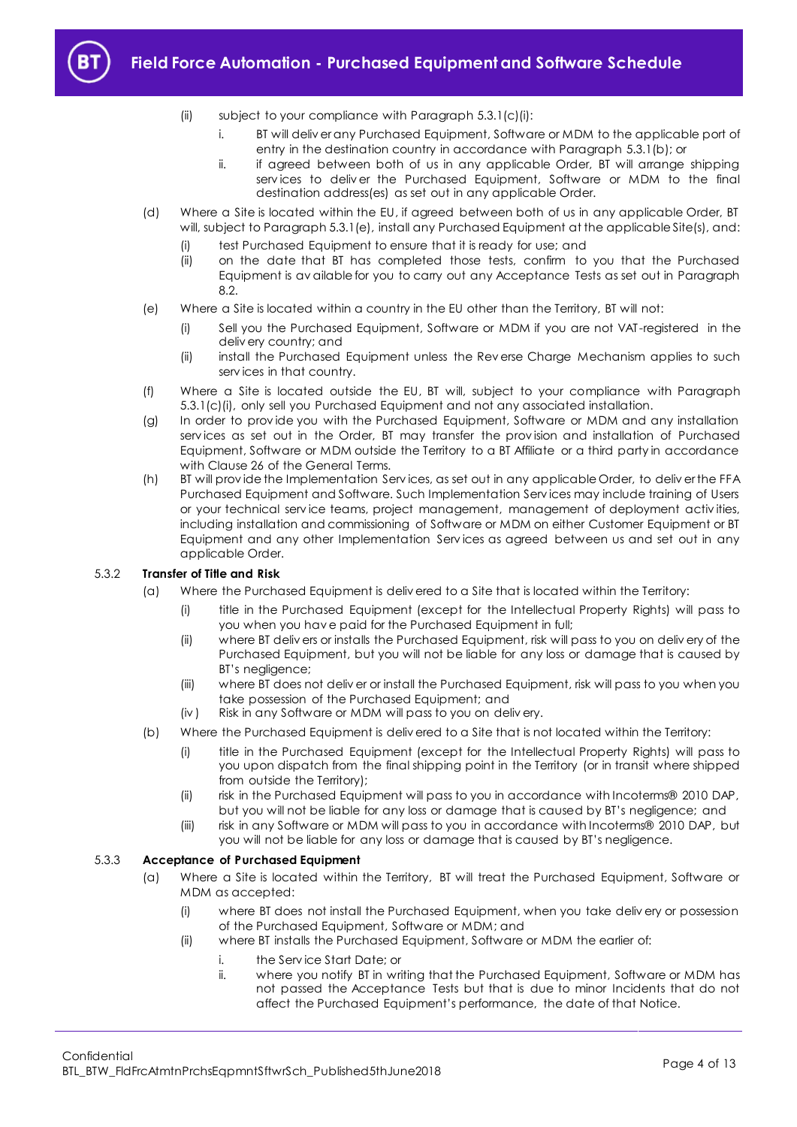

- (ii) subject to your compliance with Paragraph [5.3.1\(c\)\(i\):](#page-2-2)
	- i. BT will deliv er any Purchased Equipment, Software or MDM to the applicable port of entry in the destination country in accordance with Paragraph [5.3.1\(b\);](#page-2-3) or
	- ii. if agreed between both of us in any applicable Order, BT will arrange shipping serv ices to deliv er the Purchased Equipment, Software or MDM to the final destination address(es) as set out in any applicable Order.
- <span id="page-3-2"></span>(d) Where a Site is located within the EU, if agreed between both of us in any applicable Order, BT will, subject to Paragraph [5.3.1\(e\),](#page-3-1) install any Purchased Equipment at the applicable Site(s), and:
	- (i) test Purchased Equipment to ensure that it is ready for use; and
	- (ii) on the date that BT has completed those tests, confirm to you that the Purchased Equipment is av ailable for you to carry out any Acceptance Tests as set out in Paragraph [8.2.](#page-9-1)
- <span id="page-3-1"></span>(e) Where a Site is located within a country in the EU other than the Territory, BT will not:
	- (i) Sell you the Purchased Equipment, Software or MDM if you are not VAT -registered in the deliv ery country; and
	- (ii) install the Purchased Equipment unless the Rev erse Charge Mechanism applies to such serv ices in that country.
- (f) Where a Site is located outside the EU, BT will, subject to your compliance with Paragraph [5.3.1\(c\)\(i\),](#page-2-2) only sell you Purchased Equipment and not any associated installation.
- (g) In order to prov ide you with the Purchased Equipment, Software or MDM and any installation serv ices as set out in the Order, BT may transfer the prov ision and installation of Purchased Equipment, Software or MDM outside the Territory to a BT Affiliate or a third party in accordance with Clause 26 of the General Terms.
- <span id="page-3-3"></span>(h) BT will prov ide the Implementation Serv ices, as set out in any applicable Order, to deliv er the FFA Purchased Equipment and Software. Such Implementation Serv ices may include training of Users or your technical serv ice teams, project management, management of deployment activ ities, including installation and commissioning of Software or MDM on either Customer Equipment or BT Equipment and any other Implementation Serv ices as agreed between us and set out in any applicable Order.

## <span id="page-3-0"></span>5.3.2 **Transfer of Title and Risk**

- (a) Where the Purchased Equipment is deliv ered to a Site that is located within the Territory:
	- (i) title in the Purchased Equipment (except for the Intellectual Property Rights) will pass to you when you hav e paid for the Purchased Equipment in full;
	- (ii) where BT deliv ers or installs the Purchased Equipment, risk will pass to you on deliv ery of the Purchased Equipment, but you will not be liable for any loss or damage that is caused by BT's negligence;
	- (iii) where BT does not deliv er or install the Purchased Equipment, risk will pass to you when you take possession of the Purchased Equipment; and
	- (iv ) Risk in any Software or MDM will pass to you on deliv ery.
- (b) Where the Purchased Equipment is deliv ered to a Site that is not located within the Territory:
	- (i) title in the Purchased Equipment (except for the Intellectual Property Rights) will pass to you upon dispatch from the final shipping point in the Territory (or in transit where shipped from outside the Territory);
	- (ii) risk in the Purchased Equipment will pass to you in accordance with Incoterms® 2010 DAP, but you will not be liable for any loss or damage that is caused by BT's negligence; and
	- (iii) risk in any Software or MDM will pass to you in accordance with Incoterms® 2010 DAP, but you will not be liable for any loss or damage that is caused by BT's negligence.

#### 5.3.3 **Acceptance of Purchased Equipment**

- (a) Where a Site is located within the Territory, BT will treat the Purchased Equipment, Software or MDM as accepted:
	- (i) where BT does not install the Purchased Equipment, when you take deliv ery or possession of the Purchased Equipment, Software or MDM; and
	- (ii) where BT installs the Purchased Equipment, Software or MDM the earlier of:
		- i. the Serv ice Start Date; or
			- ii. where you notify BT in writing that the Purchased Equipment, Software or MDM has not passed the Acceptance Tests but that is due to minor Incidents that do not affect the Purchased Equipment's performance, the date of that Notice.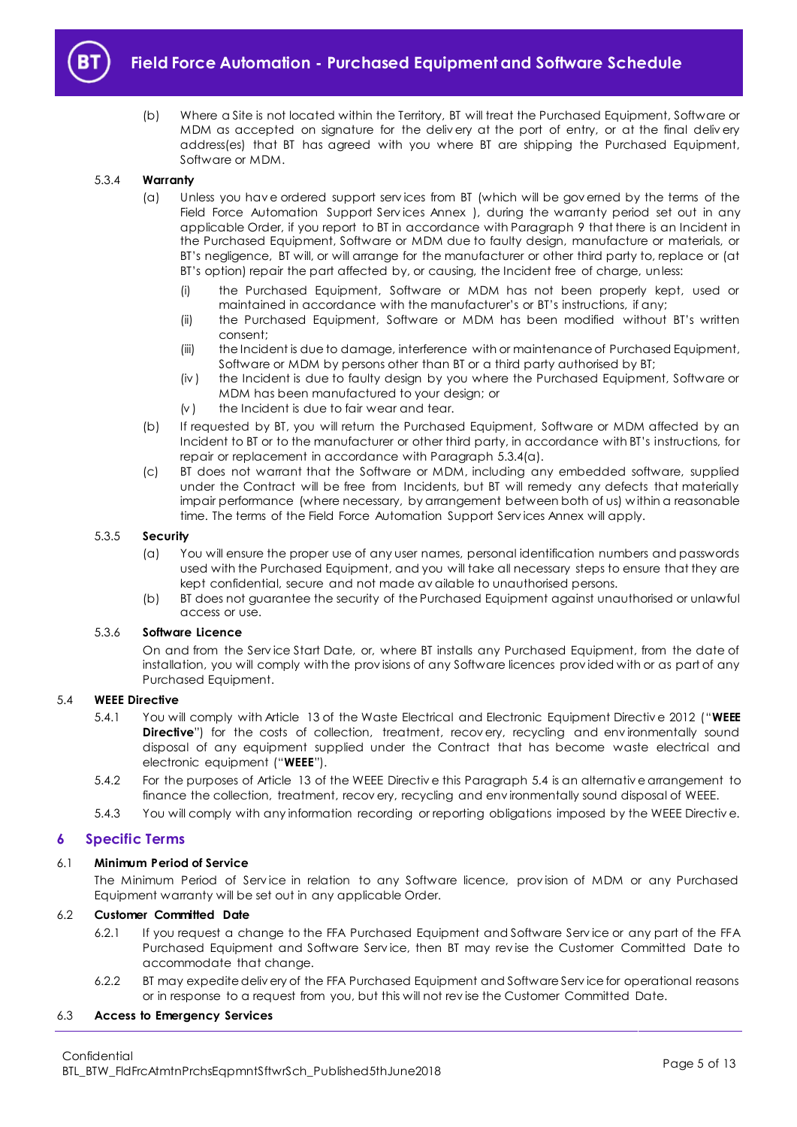

(b) Where a Site is not located within the Territory, BT will treat the Purchased Equipment, Software or MDM as accepted on signature for the deliv ery at the port of entry, or at the final deliv ery address(es) that BT has agreed with you where BT are shipping the Purchased Equipment, Software or MDM.

#### <span id="page-4-1"></span>5.3.4 **Warranty**

- (a) Unless you hav e ordered support serv ices from BT (which will be gov erned by the terms of the Field Force Automation Support Services Annex ), during the warranty period set out in any applicable Order, if you report to BT in accordance with Paragraph [9](#page-9-0) that there is an Incident in the Purchased Equipment, Software or MDM due to faulty design, manufacture or materials, or BT's negligence, BT will, or will arrange for the manufacturer or other third party to, replace or (at BT's option) repair the part affected by, or causing, the Incident free of charge, unless:
	- (i) the Purchased Equipment, Software or MDM has not been properly kept, used or maintained in accordance with the manufacturer's or BT's instructions, if any;
	- (ii) the Purchased Equipment, Software or MDM has been modified without BT's written consent;
	- (iii) the Incident is due to damage, interference with or maintenance of Purchased Equipment, Software or MDM by persons other than BT or a third party authorised by BT;
	- (iv ) the Incident is due to faulty design by you where the Purchased Equipment, Software or MDM has been manufactured to your design; or
	- $(v)$  the Incident is due to fair wear and tear.
- (b) If requested by BT, you will return the Purchased Equipment, Software or MDM affected by an Incident to BT or to the manufacturer or other third party, in accordance with BT's instructions, for repair or replacement in accordance with Paragraph [5.3.4\(a\).](#page-4-1)
- (c) BT does not warrant that the Software or MDM, including any embedded software, supplied under the Contract will be free from Incidents, but BT will remedy any defects that materially impair performance (where necessary, by arrangement between both of us) w ithin a reasonable time. The terms of the Field Force Automation Support Serv ices Annex will apply.

#### 5.3.5 **Security**

- (a) You will ensure the proper use of any user names, personal identification numbers and passwords used with the Purchased Equipment, and you will take all necessary steps to ensure that they are kept confidential, secure and not made av ailable to unauthorised persons.
- (b) BT does not guarantee the security of the Purchased Equipment against unauthorised or unlawful access or use.

## 5.3.6 **Software Licence**

On and from the Serv ice Start Date, or, where BT installs any Purchased Equipment, from the date of installation, you will comply with the prov isions of any Software licences prov ided with or as part of any Purchased Equipment.

#### <span id="page-4-3"></span><span id="page-4-2"></span>5.4 **WEEE Directive**

- 5.4.1 You will comply with Article 13 of the Waste Electrical and Electronic Equipment Directiv e 2012 ("**WEEE Directive**") for the costs of collection, treatment, recovery, recycling and environmentally sound disposal of any equipment supplied under the Contract that has become waste electrical and electronic equipment ("**WEEE**").
- 5.4.2 For the purposes of Article 13 of the WEEE Directiv e this Paragrap[h 5.4](#page-4-2) is an alternativ e arrangement to finance the collection, treatment, recov ery, recycling and env ironmentally sound disposal of WEEE.
- 5.4.3 You will comply with any information recording or reporting obligations imposed by the WEEE Directiv e.

## <span id="page-4-0"></span>**6 Specific Terms**

#### 6.1 **Minimum Period of Service**

The Minimum Period of Service in relation to any Software licence, provision of MDM or any Purchased Equipment warranty will be set out in any applicable Order.

#### 6.2 **Customer Committed Date**

- 6.2.1 If you request a change to the FFA Purchased Equipment and Software Serv ice or any part of the FFA Purchased Equipment and Software Serv ice, then BT may rev ise the Customer Committed Date to accommodate that change.
- 6.2.2 BT may expedite deliv ery of the FFA Purchased Equipment and Software Serv ice for operational reasons or in response to a request from you, but this will not rev ise the Customer Committed Date.

#### 6.3 **Access to Emergency Services**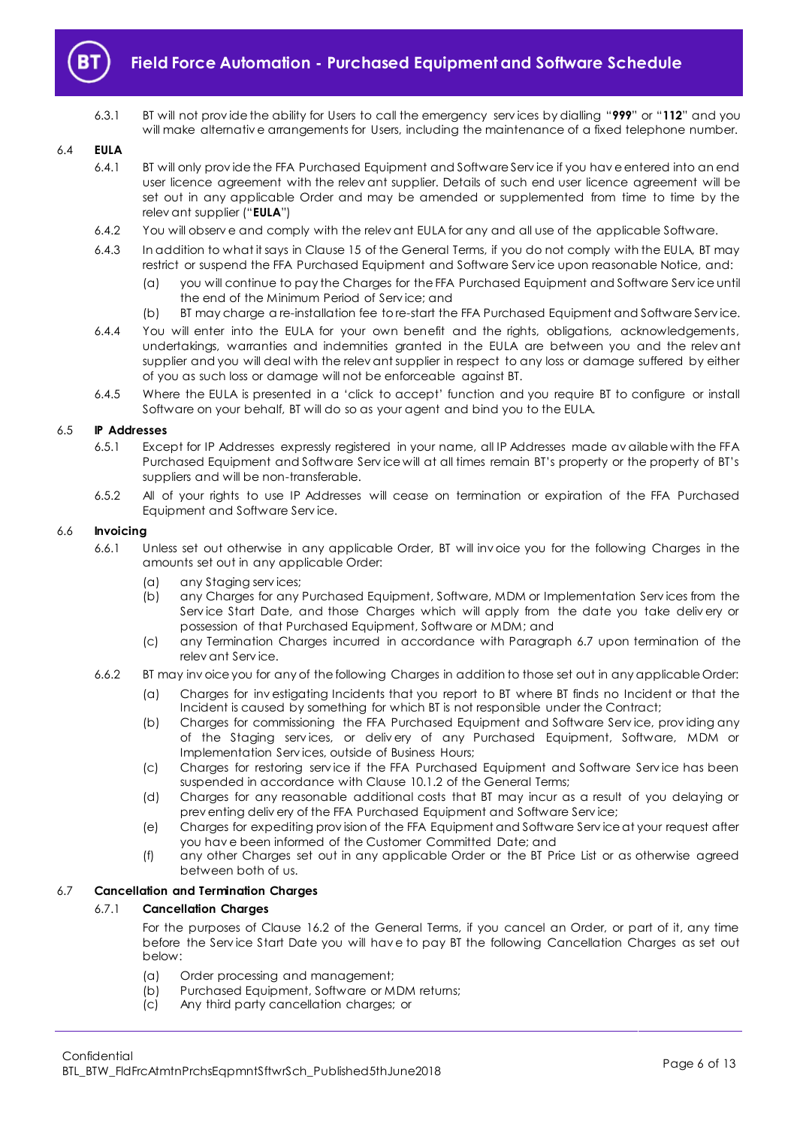

6.3.1 BT will not prov ide the ability for Users to call the emergency serv ices by dialling "**999**" or "**112**" and you will make alternative arrangements for Users, including the maintenance of a fixed telephone number.

#### <span id="page-5-1"></span>6.4 **EULA**

- 6.4.1 BT will only prov ide the FFA Purchased Equipment and Software Serv ice if you hav e entered into an end user licence agreement with the relev ant supplier. Details of such end user licence agreement will be set out in any applicable Order and may be amended or supplemented from time to time by the relev ant supplier ("**EULA**")
- 6.4.2 You will observ e and comply with the relev ant EULA for any and all use of the applicable Software.
- 6.4.3 In addition to what it says in Clause 15 of the General Terms, if you do not comply with the EULA, BT may restrict or suspend the FFA Purchased Equipment and Software Serv ice upon reasonable Notice, and:
	- (a) you will continue to pay the Charges for the FFA Purchased Equipment and Software Serv ice until the end of the Minimum Period of Serv ice; and
	- (b) BT may charge a re-installation fee to re-start the FFA Purchased Equipment and Software Serv ice.
- 6.4.4 You will enter into the EULA for your own benefit and the rights, obligations, acknowledgements, undertakings, warranties and indemnities granted in the EULA are between you and the relevant supplier and you will deal with the relev ant supplier in respect to any loss or damage suffered by either of you as such loss or damage will not be enforceable against BT.
- 6.4.5 Where the EULA is presented in a 'click to accept' function and you require BT to configure or install Software on your behalf, BT will do so as your agent and bind you to the EULA.

#### 6.5 **IP Addresses**

- 6.5.1 Except for IP Addresses expressly registered in your name, all IP Addresses made av ailable with the FFA Purchased Equipment and Software Serv ice will at all times remain BT's property or the property of BT's suppliers and will be non-transferable.
- 6.5.2 All of your rights to use IP Addresses will cease on termination or expiration of the FFA Purchased Equipment and Software Serv ice.

#### 6.6 **Invoicing**

- 6.6.1 Unless set out otherwise in any applicable Order, BT will inv oice you for the following Charges in the amounts set out in any applicable Order:
	- (a) any Staging serv ices;
	- (b) any Charges for any Purchased Equipment, Software, MDM or Implementation Serv ices from the Serv ice Start Date, and those Charges which will apply from the date you take deliv ery or possession of that Purchased Equipment, Software or MDM; and
	- (c) any Termination Charges incurred in accordance with Paragraph [6.7](#page-5-0) upon termination of the relev ant Serv ice.
- 6.6.2 BT may inv oice you for any of the following Charges in addition to those set out in any applicable Order:
	- (a) Charges for inv estigating Incidents that you report to BT where BT finds no Incident or that the Incident is caused by something for which BT is not responsible under the Contract;
	- (b) Charges for commissioning the FFA Purchased Equipment and Software Serv ice, prov iding any of the Staging serv ices, or deliv ery of any Purchased Equipment, Software, MDM or Implementation Serv ices, outside of Business Hours;
	- (c) Charges for restoring serv ice if the FFA Purchased Equipment and Software Serv ice has been suspended in accordance with Clause 10.1.2 of the General Terms;
	- (d) Charges for any reasonable additional costs that BT may incur as a result of you delaying or prev enting deliv ery of the FFA Purchased Equipment and Software Serv ice;
	- (e) Charges for expediting prov ision of the FFA Equipment and Software Serv ice at your request after you hav e been informed of the Customer Committed Date; and
	- (f) any other Charges set out in any applicable Order or the BT Price List or as otherwise agreed between both of us.

#### <span id="page-5-0"></span>6.7 **Cancellation and Termination Charges**

#### 6.7.1 **Cancellation Charges**

For the purposes of Clause 16.2 of the General Terms, if you cancel an Order, or part of it, any time before the Serv ice Start Date you will hav e to pay BT the following Cancellation Charges as set out below:

- (a) Order processing and management;
- (b) Purchased Equipment, Software or MDM returns;
- (c) Any third party cancellation charges; or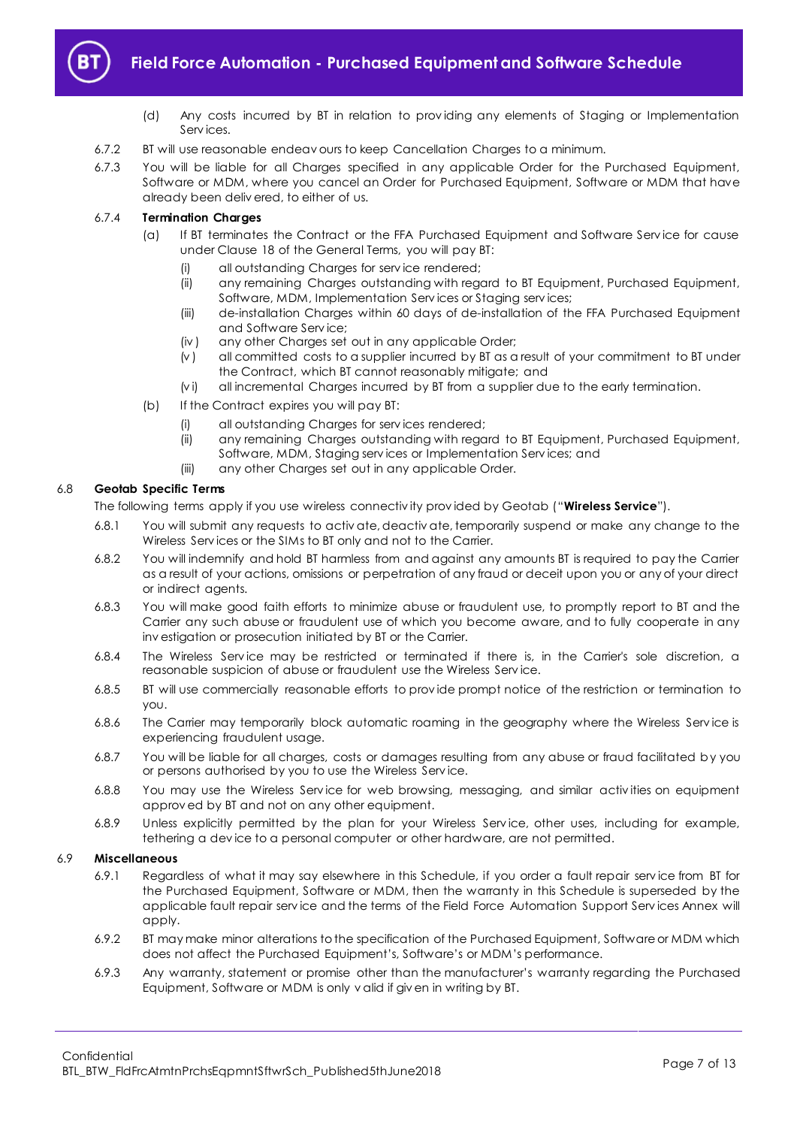

- (d) Any costs incurred by BT in relation to prov iding any elements of Staging or Implementation Serv ices.
- 6.7.2 BT will use reasonable endeav ours to keep Cancellation Charges to a minimum.
- 6.7.3 You will be liable for all Charges specified in any applicable Order for the Purchased Equipment, Software or MDM, where you cancel an Order for Purchased Equipment, Software or MDM that have already been deliv ered, to either of us.

#### 6.7.4 **Termination Charges**

- (a) If BT terminates the Contract or the FFA Purchased Equipment and Software Serv ice for cause under Clause 18 of the General Terms, you will pay BT:
	- (i) all outstanding Charges for serv ice rendered;
	- (ii) any remaining Charges outstanding with regard to BT Equipment, Purchased Equipment, Software, MDM, Implementation Services or Staging services;
	- (iii) de-installation Charges within 60 days of de-installation of the FFA Purchased Equipment and Software Serv ice;
	- (iv ) any other Charges set out in any applicable Order;
	- (v ) all committed costs to a supplier incurred by BT as a result of your commitment to BT under the Contract, which BT cannot reasonably mitigate; and
	- (vi) all incremental Charges incurred by BT from a supplier due to the early termination.
- (b) If the Contract expires you will pay BT:
	- (i) all outstanding Charges for serv ices rendered;
	- (ii) any remaining Charges outstanding with regard to BT Equipment, Purchased Equipment, Software, MDM, Staging serv ices or Implementation Serv ices; and
	- (iii) any other Charges set out in any applicable Order.

#### <span id="page-6-0"></span>6.8 **Geotab Specific Terms**

The following terms apply if you use wireless connectiv ity prov ided by Geotab ("**Wireless Service**").

- 6.8.1 You will submit any requests to activ ate, deactiv ate, temporarily suspend or make any change to the Wireless Services or the SIMs to BT only and not to the Carrier.
- 6.8.2 You will indemnify and hold BT harmless from and against any amounts BT is required to pay the Carrier as a result of your actions, omissions or perpetration of any fraud or deceit upon you or any of your direct or indirect agents.
- 6.8.3 You will make good faith efforts to minimize abuse or fraudulent use, to promptly report to BT and the Carrier any such abuse or fraudulent use of which you become aware, and to fully cooperate in any inv estigation or prosecution initiated by BT or the Carrier.
- 6.8.4 The Wireless Serv ice may be restricted or terminated if there is, in the Carrier's sole discretion, a reasonable suspicion of abuse or fraudulent use the Wireless Serv ice.
- 6.8.5 BT will use commercially reasonable efforts to prov ide prompt notice of the restriction or termination to you.
- 6.8.6 The Carrier may temporarily block automatic roaming in the geography where the Wireless Serv ice is experiencing fraudulent usage.
- 6.8.7 You will be liable for all charges, costs or damages resulting from any abuse or fraud facilitated by you or persons authorised by you to use the Wireless Serv ice.
- 6.8.8 You may use the Wireless Serv ice for web browsing, messaging, and similar activ ities on equipment approv ed by BT and not on any other equipment.
- 6.8.9 Unless explicitly permitted by the plan for your Wireless Serv ice, other uses, including for example, tethering a dev ice to a personal computer or other hardware, are not permitted.

#### 6.9 **Miscellaneous**

- 6.9.1 Regardless of what it may say elsewhere in this Schedule, if you order a fault repair serv ice from BT for the Purchased Equipment, Software or MDM, then the warranty in this Schedule is superseded by the applicable fault repair serv ice and the terms of the Field Force Automation Support Serv ices Annex will apply.
- 6.9.2 BT may make minor alterations to the specification of the Purchased Equipment, Software or MDM which does not affect the Purchased Equipment's, Software's or MDM's performance.
- 6.9.3 Any warranty, statement or promise other than the manufacturer's warranty regarding the Purchased Equipment, Software or MDM is only v alid if giv en in writing by BT.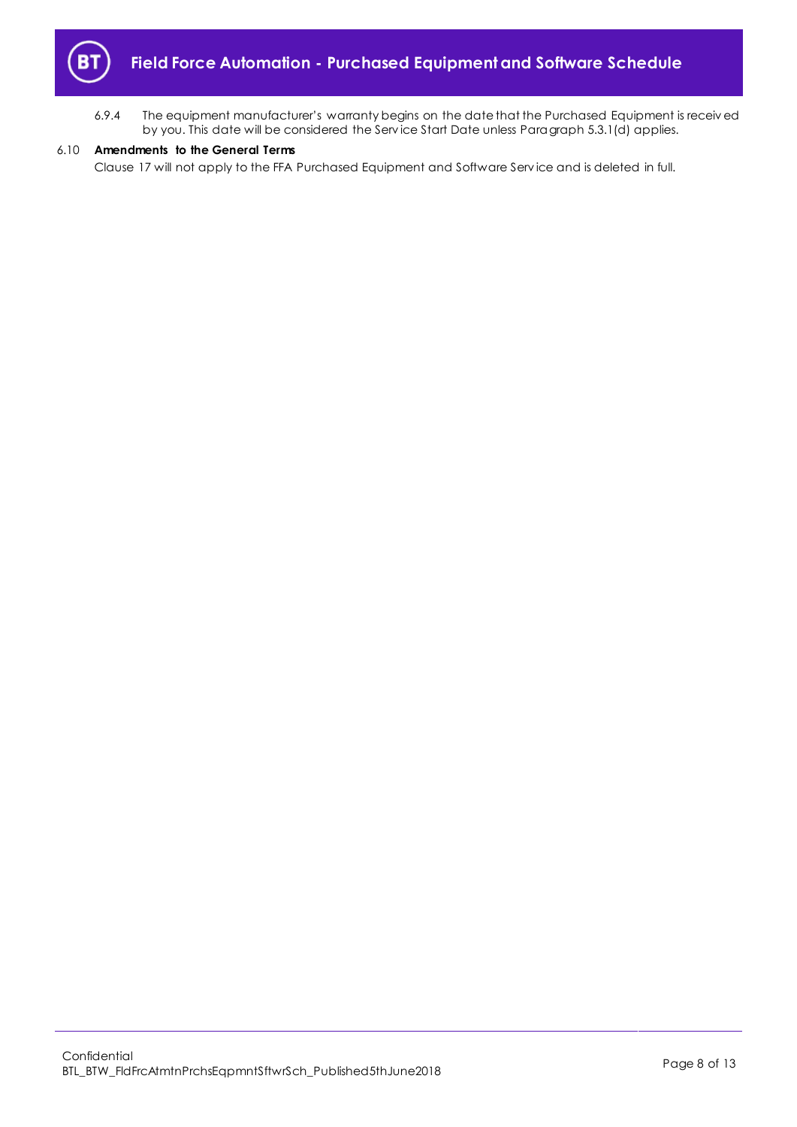

6.9.4 The equipment manufacturer's warranty begins on the date that the Purchased Equipment is receiv ed by you. This date will be considered the Serv ice Start Date unless Paragrap[h 5.3.1\(d\)](#page-3-2) applies.

#### 6.10 **Amendments to the General Terms**

Clause 17 will not apply to the FFA Purchased Equipment and Software Serv ice and is deleted in full.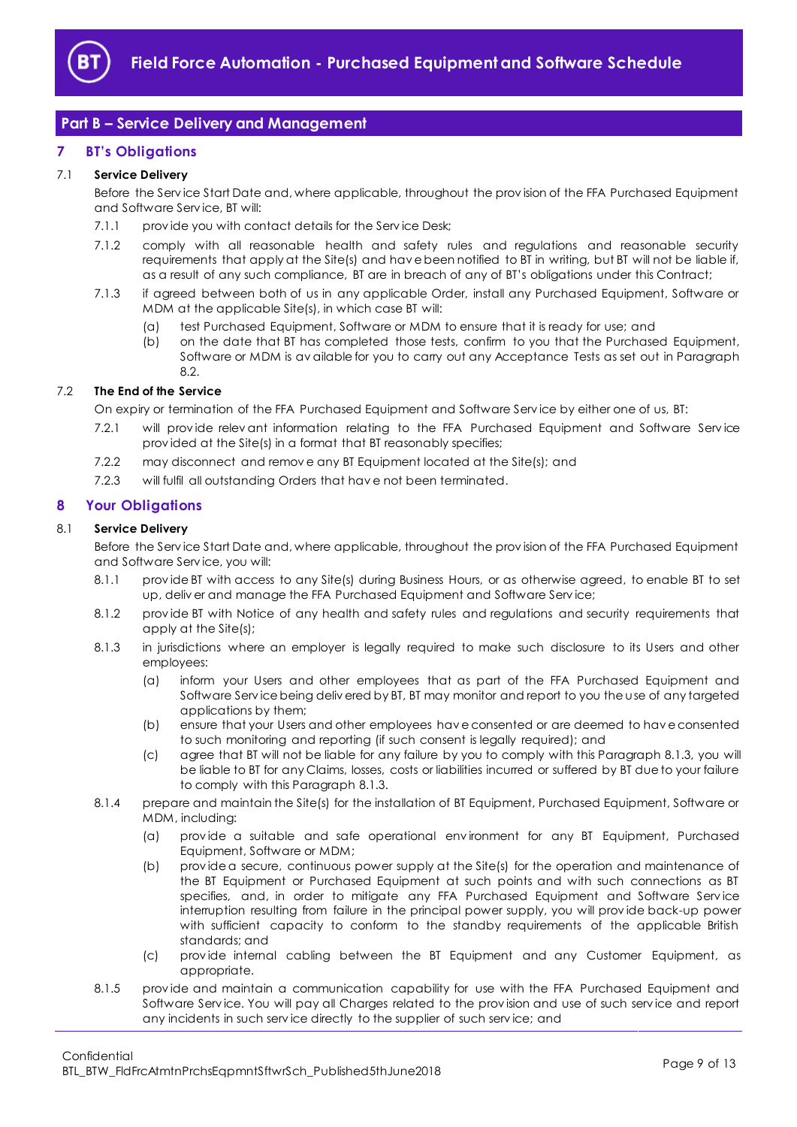

## <span id="page-8-0"></span>**Part B – Service Delivery and Management**

## <span id="page-8-1"></span>**7 BT's Obligations**

## 7.1 **Service Delivery**

Before the Serv ice Start Date and, where applicable, throughout the prov ision of the FFA Purchased Equipment and Software Serv ice, BT will:

- 7.1.1 provide you with contact details for the Service Desk;
- 7.1.2 comply with all reasonable health and safety rules and regulations and reasonable security requirements that apply at the Site(s) and hav e been notified to BT in writing, but BT will not be liable if, as a result of any such compliance, BT are in breach of any of BT's obligations under this Contract;
- 7.1.3 if agreed between both of us in any applicable Order, install any Purchased Equipment, Software or MDM at the applicable Site(s), in which case BT will:
	- (a) test Purchased Equipment, Software or MDM to ensure that it is ready for use; and
	- (b) on the date that BT has completed those tests, confirm to you that the Purchased Equipment, Software or MDM is av ailable for you to carry out any Acceptance Tests as set out in Paragraph 8.2

## 7.2 **The End of the Service**

On expiry or termination of the FFA Purchased Equipment and Software Serv ice by either one of us, BT:

- 7.2.1 will prov ide relev ant information relating to the FFA Purchased Equipment and Software Serv ice prov ided at the Site(s) in a format that BT reasonably specifies;
- 7.2.2 may disconnect and remov e any BT Equipment located at the Site(s); and
- 7.2.3 will fulfil all outstanding Orders that hav e not been terminated.

## <span id="page-8-2"></span>**8 Your Obligations**

#### 8.1 **Service Delivery**

Before the Serv ice Start Date and, where applicable, throughout the prov ision of the FFA Purchased Equipment and Software Serv ice, you will:

- 8.1.1 prov ide BT with access to any Site(s) during Business Hours, or as otherwise agreed, to enable BT to set up, deliv er and manage the FFA Purchased Equipment and Software Serv ice;
- 8.1.2 prov ide BT with Notice of any health and safety rules and regulations and security requirements that apply at the Site(s);
- <span id="page-8-3"></span>8.1.3 in jurisdictions where an employer is legally required to make such disclosure to its Users and other employees:
	- (a) inform your Users and other employees that as part of the FFA Purchased Equipment and Software Serv ice being deliv ered by BT, BT may monitor and report to you the use of any targeted applications by them;
	- (b) ensure that your Users and other employees hav e consented or are deemed to hav e consented to such monitoring and reporting (if such consent is legally required); and
	- (c) agree that BT will not be liable for any failure by you to comply with this Paragraph [8.1.3,](#page-8-3) you will be liable to BT for any Claims, losses, costs or liabilities incurred or suffered by BT due to your failure to comply with this Paragrap[h 8.1.3.](#page-8-3)
- 8.1.4 prepare and maintain the Site(s) for the installation of BT Equipment, Purchased Equipment, Software or MDM, including:
	- (a) prov ide a suitable and safe operational env ironment for any BT Equipment, Purchased Equipment, Software or MDM;
	- (b) prov ide a secure, continuous power supply at the Site(s) for the operation and maintenance of the BT Equipment or Purchased Equipment at such points and with such connections as BT specifies, and, in order to mitigate any FFA Purchased Equipment and Software Serv ice interruption resulting from failure in the principal power supply, you will prov ide back-up power with sufficient capacity to conform to the standby requirements of the applicable British standards; and
	- (c) prov ide internal cabling between the BT Equipment and any Customer Equipment, as appropriate.
- 8.1.5 prov ide and maintain a communication capability for use with the FFA Purchased Equipment and Software Serv ice. You will pay all Charges related to the prov ision and use of such serv ice and report any incidents in such serv ice directly to the supplier of such serv ice; and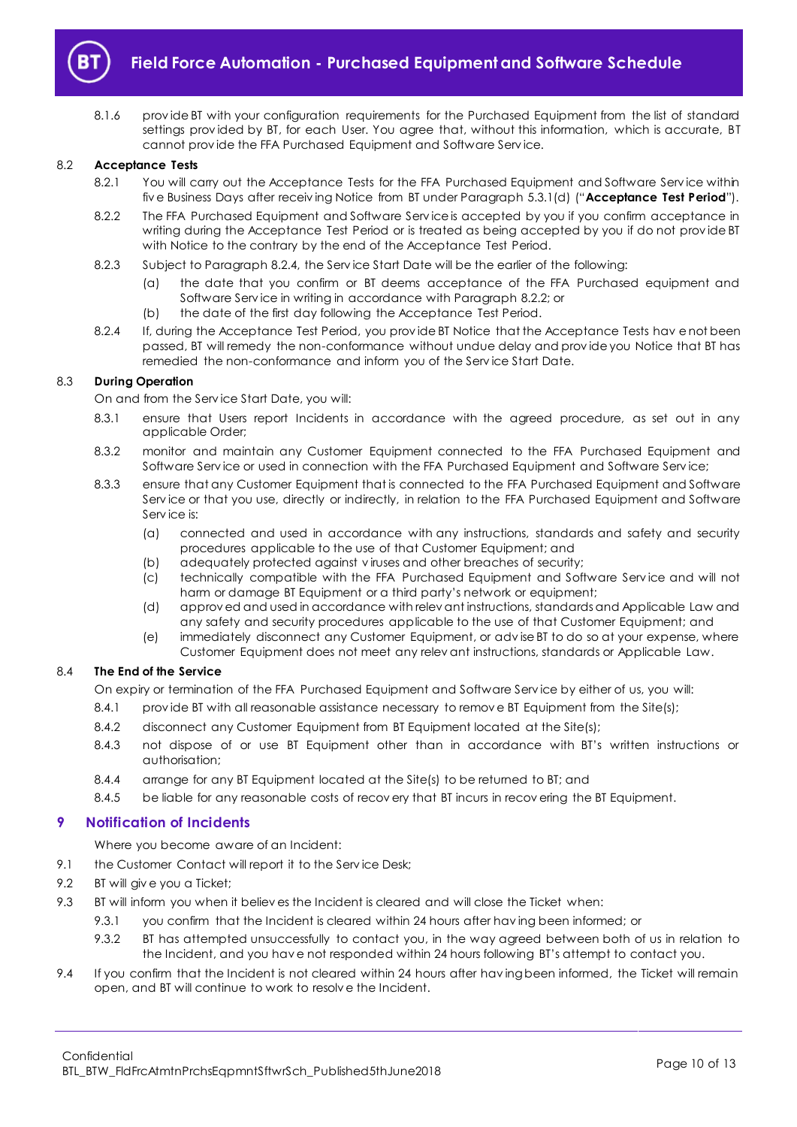

8.1.6 prov ide BT with your configuration requirements for the Purchased Equipment from the list of standard settings prov ided by BT, for each User. You agree that, without this information, which is accurate, BT cannot prov ide the FFA Purchased Equipment and Software Serv ice.

#### <span id="page-9-4"></span><span id="page-9-1"></span>8.2 **Acceptance Tests**

- 8.2.1 You will carry out the Acceptance Tests for the FFA Purchased Equipment and Software Service within fiv e Business Days after receiv ing Notice from BT under Paragraph [5.3.1\(d\)](#page-3-2) ("**Acceptance Test Period**").
- <span id="page-9-3"></span>8.2.2 The FFA Purchased Equipment and Software Serv ice is accepted by you if you confirm acceptance in writing during the Acceptance Test Period or is treated as being accepted by you if do not prov ide BT with Notice to the contrary by the end of the Acceptance Test Period.
- 8.2.3 Subject to Paragraph [8.2.4,](#page-9-2) the Serv ice Start Date will be the earlier of the following:
	- (a) the date that you confirm or BT deems acceptance of the FFA Purchased equipment and Software Serv ice in writing in accordance with Paragrap[h 8.2.2;](#page-9-3) or
	- (b) the date of the first day following the Acceptance Test Period.
- <span id="page-9-2"></span>8.2.4 If, during the Acceptance Test Period, you prov ide BT Notice that the Acceptance Tests hav e not been passed, BT will remedy the non-conformance without undue delay and prov ide you Notice that BT has remedied the non-conformance and inform you of the Serv ice Start Date.

#### 8.3 **During Operation**

On and from the Serv ice Start Date, you will:

- 8.3.1 ensure that Users report Incidents in accordance with the agreed procedure, as set out in any applicable Order;
- 8.3.2 monitor and maintain any Customer Equipment connected to the FFA Purchased Equipment and Software Serv ice or used in connection with the FFA Purchased Equipment and Software Serv ice;
- 8.3.3 ensure that any Customer Equipment that is connected to the FFA Purchased Equipment and Software Serv ice or that you use, directly or indirectly, in relation to the FFA Purchased Equipment and Software Serv ice is:
	- (a) connected and used in accordance with any instructions, standards and safety and security procedures applicable to the use of that Customer Equipment; and
	- (b) adequately protected against v iruses and other breaches of security;
	- (c) technically compatible with the FFA Purchased Equipment and Software Serv ice and will not harm or damage BT Equipment or a third party's network or equipment;
	- (d) approv ed and used in accordance with relev ant instructions, standards and Applicable Law and any safety and security procedures applicable to the use of that Customer Equipment; and
	- (e) immediately disconnect any Customer Equipment, or adv ise BT to do so at your expense, where Customer Equipment does not meet any relev ant instructions, standards or Applicable Law.

#### 8.4 **The End of the Service**

On expiry or termination of the FFA Purchased Equipment and Software Serv ice by either of us, you will:

- 8.4.1 provide BT with all reasonable assistance necessary to remove BT Equipment from the Site(s);
- 8.4.2 disconnect any Customer Equipment from BT Equipment located at the Site(s);
- 8.4.3 not dispose of or use BT Equipment other than in accordance with BT's written instructions or authorisation;
- 8.4.4 arrange for any BT Equipment located at the Site(s) to be returned to BT; and
- 8.4.5 be liable for any reasonable costs of recovery that BT incurs in recovering the BT Equipment.

## <span id="page-9-0"></span>**9 Notification of Incidents**

Where you become aware of an Incident:

- 9.1 the Customer Contact will report it to the Service Desk;
- 9.2 BT will giv e you a Ticket;
- 9.3 BT will inform you when it believ es the Incident is cleared and will close the Ticket when:
	- 9.3.1 you confirm that the Incident is cleared within 24 hours after hav ing been informed; or
		- 9.3.2 BT has attempted unsuccessfully to contact you, in the way agreed between both of us in relation to the Incident, and you hav e not responded within 24 hours following BT's attempt to contact you.
- 9.4 If you confirm that the Incident is not cleared within 24 hours after having been informed, the Ticket will remain open, and BT will continue to work to resolv e the Incident.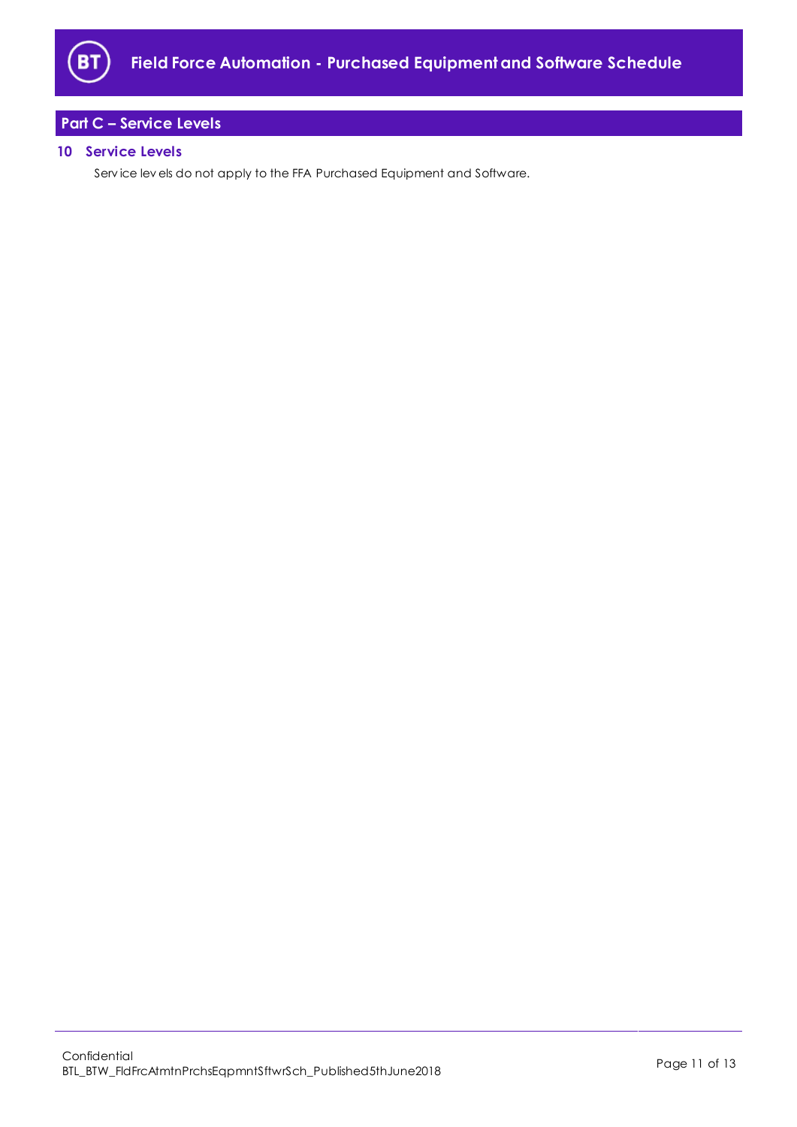

# <span id="page-10-0"></span>**Part C – Service Levels**

## <span id="page-10-1"></span>**10 Service Levels**

Serv ice lev els do not apply to the FFA Purchased Equipment and Software.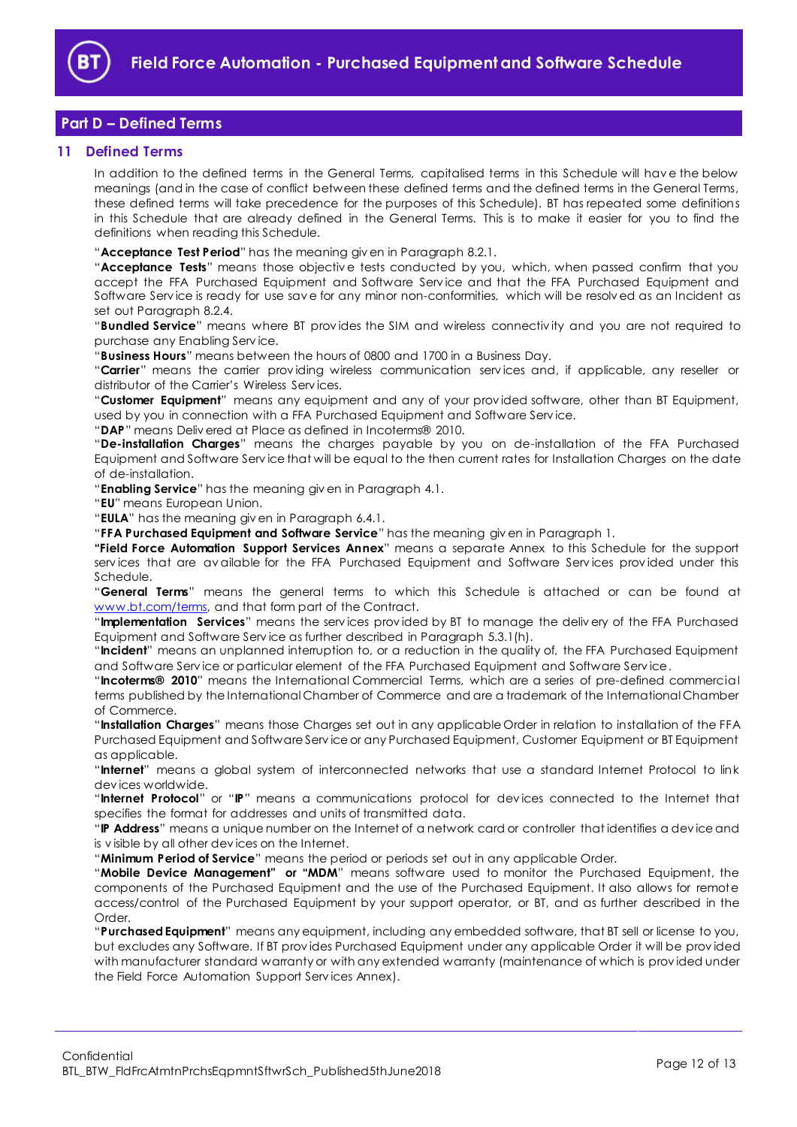

## <span id="page-11-0"></span>**Part D – Defined Terms**

#### <span id="page-11-1"></span>**11 Defined Terms**

In addition to the defined terms in the General Terms, capitalised terms in this Schedule will hav e the below meanings (and in the case of conflict between these defined terms and the defined terms in the General Terms, these defined terms will take precedence for the purposes of this Schedule). BT has repeated some definitions in this Schedule that are already defined in the General Terms. This is to make it easier for you to find the definitions when reading this Schedule.

"**Acceptance Test Period**" has the meaning giv en in Paragrap[h 8.2.1.](#page-9-4)

"**Acceptance Tests**" means those objectiv e tests conducted by you, which, when passed confirm that you accept the FFA Purchased Equipment and Software Serv ice and that the FFA Purchased Equipment and Software Serv ice is ready for use sav e for any minor non-conformities, which will be resolv ed as an Incident as set out Paragraph [8.2.4.](#page-9-2)

"**Bundled Service**" means where BT prov ides the SIM and wireless connectiv ity and you are not required to purchase any Enabling Serv ice.

"**Business Hours**" means between the hours of 0800 and 1700 in a Business Day.

"**Carrier**" means the carrier prov iding wireless communication serv ices and, if applicable, any reseller or distributor of the Carrier's Wireless Serv ices.

"**Customer Equipment**" means any equipment and any of your prov ided software, other than BT Equipment, used by you in connection with a FFA Purchased Equipment and Software Serv ice.

"**DAP**" means Deliv ered at Place as defined in Incoterms® 2010.

"**De-installation Charges**" means the charges payable by you on de-installation of the FFA Purchased Equipment and Software Serv ice that will be equal to the then current rates for Installation Charges on the date of de-installation.

"**Enabling Service**" has the meaning giv en in Paragrap[h 4.1.](#page-1-7)

"**EU**" means European Union.

"**EULA**" has the meaning giv en in Paragrap[h 6.4.1.](#page-5-1)

"**FFA Purchased Equipment and Software Service**" has the meaning giv en in Paragraph 1.

**"Field Force Automation Support Services Annex**" means a separate Annex to this Schedule for the support serv ices that are av ailable for the FFA Purchased Equipment and Software Serv ices prov ided under this Schedule.

"**General Terms**" means the general terms to which this Schedule is attached or can be found at [www.bt.com/terms,](http://www.bt.com/terms) and that form part of the Contract.

"**Implementation Services**" means the serv ices prov ided by BT to manage the deliv ery of the FFA Purchased Equipment and Software Serv ice as further described in Paragraph [5.3.1\(h\).](#page-3-3)

"**Incident**" means an unplanned interruption to, or a reduction in the quality of, the FFA Purchased Equipment and Software Serv ice or particular element of the FFA Purchased Equipment and Software Serv ice.

"**Incoterms® 2010**" means the International Commercial Terms, which are a series of pre-defined commercial terms published by the International Chamber of Commerce and are a trademark of the International Chamber of Commerce.

"**Installation Charges**" means those Charges set out in any applicable Order in relation to installation of the FFA Purchased Equipment and Software Serv ice or any Purchased Equipment, Customer Equipment or BT Equipment as applicable.

"**Internet**" means a global system of interconnected networks that use a standard Internet Protocol to link dev ices worldwide.

"**Internet Protocol**" or "**IP**" means a communications protocol for dev ices connected to the Internet that specifies the format for addresses and units of transmitted data.

"**IP Address**" means a unique number on the Internet of a network card or controller that identifies a dev ice and is v isible by all other dev ices on the Internet.

"**Minimum Period of Service**" means the period or periods set out in any applicable Order.

"**Mobile Device Management" or "MDM**" means software used to monitor the Purchased Equipment, the components of the Purchased Equipment and the use of the Purchased Equipment. It also allows for remote access/control of the Purchased Equipment by your support operator, or BT, and as further described in the Order.

"**Purchased Equipment**" means any equipment, including any embedded software, that BT sell or license to you, but excludes any Software. If BT prov ides Purchased Equipment under any applicable Order it will be prov ided with manufacturer standard warranty or with any extended warranty (maintenance of which is provided under the Field Force Automation Support Serv ices Annex).